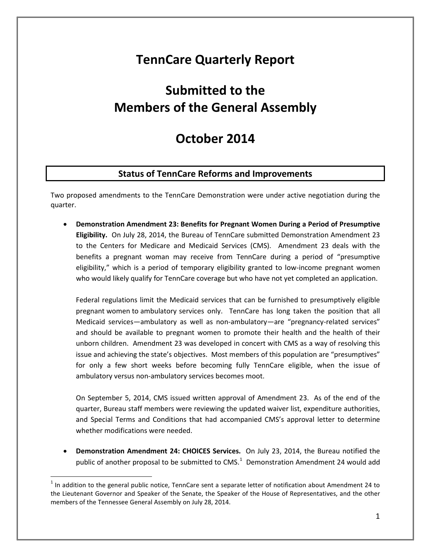## **TennCare Quarterly Report**

# **Submitted to the Members of the General Assembly**

## **October 2014**

## **Status of TennCare Reforms and Improvements**

Two proposed amendments to the TennCare Demonstration were under active negotiation during the quarter.

• **Demonstration Amendment 23: Benefits for Pregnant Women During a Period of Presumptive Eligibility.** On July 28, 2014, the Bureau of TennCare submitted Demonstration Amendment 23 to the Centers for Medicare and Medicaid Services (CMS). Amendment 23 deals with the benefits a pregnant woman may receive from TennCare during a period of "presumptive eligibility," which is a period of temporary eligibility granted to low-income pregnant women who would likely qualify for TennCare coverage but who have not yet completed an application.

Federal regulations limit the Medicaid services that can be furnished to presumptively eligible pregnant women to ambulatory services only. TennCare has long taken the position that all Medicaid services—ambulatory as well as non-ambulatory—are "pregnancy-related services" and should be available to pregnant women to promote their health and the health of their unborn children. Amendment 23 was developed in concert with CMS as a way of resolving this issue and achieving the state's objectives. Most members of this population are "presumptives" for only a few short weeks before becoming fully TennCare eligible, when the issue of ambulatory versus non-ambulatory services becomes moot.

On September 5, 2014, CMS issued written approval of Amendment 23. As of the end of the quarter, Bureau staff members were reviewing the updated waiver list, expenditure authorities, and Special Terms and Conditions that had accompanied CMS's approval letter to determine whether modifications were needed.

• **Demonstration Amendment 24: CHOICES Services.** On July 23, 2014, the Bureau notified the public of another proposal to be submitted to CMS. $1$  Demonstration Amendment 24 would add

<span id="page-0-0"></span> $1$  In addition to the general public notice, TennCare sent a separate letter of notification about Amendment 24 to the Lieutenant Governor and Speaker of the Senate, the Speaker of the House of Representatives, and the other members of the Tennessee General Assembly on July 28, 2014.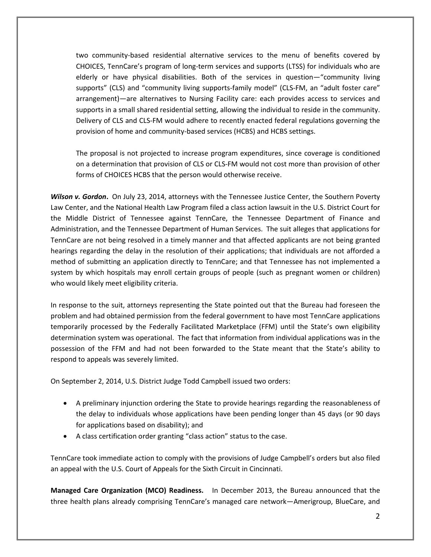two community-based residential alternative services to the menu of benefits covered by CHOICES, TennCare's program of long-term services and supports (LTSS) for individuals who are elderly or have physical disabilities. Both of the services in question—"community living supports" (CLS) and "community living supports-family model" (CLS-FM, an "adult foster care" arrangement)—are alternatives to Nursing Facility care: each provides access to services and supports in a small shared residential setting, allowing the individual to reside in the community. Delivery of CLS and CLS-FM would adhere to recently enacted federal regulations governing the provision of home and community-based services (HCBS) and HCBS settings.

The proposal is not projected to increase program expenditures, since coverage is conditioned on a determination that provision of CLS or CLS-FM would not cost more than provision of other forms of CHOICES HCBS that the person would otherwise receive.

*Wilson v. Gordon***.** On July 23, 2014, attorneys with the Tennessee Justice Center, the Southern Poverty Law Center, and the National Health Law Program filed a class action lawsuit in the U.S. District Court for the Middle District of Tennessee against TennCare, the Tennessee Department of Finance and Administration, and the Tennessee Department of Human Services. The suit alleges that applications for TennCare are not being resolved in a timely manner and that affected applicants are not being granted hearings regarding the delay in the resolution of their applications; that individuals are not afforded a method of submitting an application directly to TennCare; and that Tennessee has not implemented a system by which hospitals may enroll certain groups of people (such as pregnant women or children) who would likely meet eligibility criteria.

In response to the suit, attorneys representing the State pointed out that the Bureau had foreseen the problem and had obtained permission from the federal government to have most TennCare applications temporarily processed by the Federally Facilitated Marketplace (FFM) until the State's own eligibility determination system was operational. The fact that information from individual applications was in the possession of the FFM and had not been forwarded to the State meant that the State's ability to respond to appeals was severely limited.

On September 2, 2014, U.S. District Judge Todd Campbell issued two orders:

- A preliminary injunction ordering the State to provide hearings regarding the reasonableness of the delay to individuals whose applications have been pending longer than 45 days (or 90 days for applications based on disability); and
- A class certification order granting "class action" status to the case.

TennCare took immediate action to comply with the provisions of Judge Campbell's orders but also filed an appeal with the U.S. Court of Appeals for the Sixth Circuit in Cincinnati.

**Managed Care Organization (MCO) Readiness.** In December 2013, the Bureau announced that the three health plans already comprising TennCare's managed care network—Amerigroup, BlueCare, and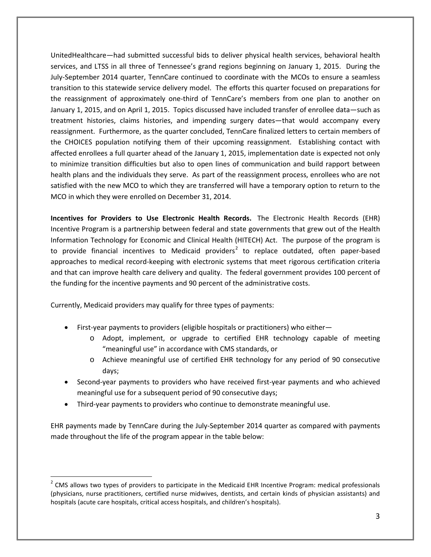UnitedHealthcare—had submitted successful bids to deliver physical health services, behavioral health services, and LTSS in all three of Tennessee's grand regions beginning on January 1, 2015. During the July-September 2014 quarter, TennCare continued to coordinate with the MCOs to ensure a seamless transition to this statewide service delivery model. The efforts this quarter focused on preparations for the reassignment of approximately one-third of TennCare's members from one plan to another on January 1, 2015, and on April 1, 2015. Topics discussed have included transfer of enrollee data—such as treatment histories, claims histories, and impending surgery dates—that would accompany every reassignment. Furthermore, as the quarter concluded, TennCare finalized letters to certain members of the CHOICES population notifying them of their upcoming reassignment. Establishing contact with affected enrollees a full quarter ahead of the January 1, 2015, implementation date is expected not only to minimize transition difficulties but also to open lines of communication and build rapport between health plans and the individuals they serve. As part of the reassignment process, enrollees who are not satisfied with the new MCO to which they are transferred will have a temporary option to return to the MCO in which they were enrolled on December 31, 2014.

**Incentives for Providers to Use Electronic Health Records.** The Electronic Health Records (EHR) Incentive Program is a partnership between federal and state governments that grew out of the Health Information Technology for Economic and Clinical Health (HITECH) Act. The purpose of the program is to provide financial incentives to Medicaid providers<sup>[2](#page-2-0)</sup> to replace outdated, often paper-based approaches to medical record-keeping with electronic systems that meet rigorous certification criteria and that can improve health care delivery and quality. The federal government provides 100 percent of the funding for the incentive payments and 90 percent of the administrative costs.

Currently, Medicaid providers may qualify for three types of payments:

 $\overline{a}$ 

- First-year payments to providers (eligible hospitals or practitioners) who either
	- o Adopt, implement, or upgrade to certified EHR technology capable of meeting "meaningful use" in accordance with CMS standards, or
	- o Achieve meaningful use of certified EHR technology for any period of 90 consecutive days;
- Second-year payments to providers who have received first-year payments and who achieved meaningful use for a subsequent period of 90 consecutive days;
- Third-year payments to providers who continue to demonstrate meaningful use.

EHR payments made by TennCare during the July-September 2014 quarter as compared with payments made throughout the life of the program appear in the table below:

<span id="page-2-0"></span> $2$  CMS allows two types of providers to participate in the Medicaid EHR Incentive Program: medical professionals (physicians, nurse practitioners, certified nurse midwives, dentists, and certain kinds of physician assistants) and hospitals (acute care hospitals, critical access hospitals, and children's hospitals).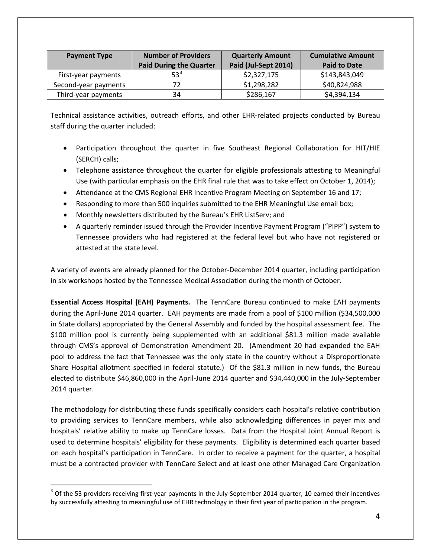| <b>Payment Type</b>  | <b>Number of Providers</b>     | <b>Quarterly Amount</b> | <b>Cumulative Amount</b> |
|----------------------|--------------------------------|-------------------------|--------------------------|
|                      | <b>Paid During the Quarter</b> | Paid (Jul-Sept 2014)    | <b>Paid to Date</b>      |
| First-year payments  | $53^3$                         | \$2,327,175             | \$143,843,049            |
| Second-year payments |                                | \$1,298,282             | \$40,824,988             |
| Third-year payments  | 34                             | \$286,167               | \$4,394,134              |

Technical assistance activities, outreach efforts, and other EHR-related projects conducted by Bureau staff during the quarter included:

- Participation throughout the quarter in five Southeast Regional Collaboration for HIT/HIE (SERCH) calls;
- Telephone assistance throughout the quarter for eligible professionals attesting to Meaningful Use (with particular emphasis on the EHR final rule that was to take effect on October 1, 2014);
- Attendance at the CMS Regional EHR Incentive Program Meeting on September 16 and 17;
- Responding to more than 500 inquiries submitted to the EHR Meaningful Use email box;
- Monthly newsletters distributed by the Bureau's EHR ListServ; and
- A quarterly reminder issued through the Provider Incentive Payment Program ("PIPP") system to Tennessee providers who had registered at the federal level but who have not registered or attested at the state level.

A variety of events are already planned for the October-December 2014 quarter, including participation in six workshops hosted by the Tennessee Medical Association during the month of October.

**Essential Access Hospital (EAH) Payments.** The TennCare Bureau continued to make EAH payments during the April-June 2014 quarter. EAH payments are made from a pool of \$100 million (\$34,500,000 in State dollars) appropriated by the General Assembly and funded by the hospital assessment fee. The \$100 million pool is currently being supplemented with an additional \$81.3 million made available through CMS's approval of Demonstration Amendment 20. (Amendment 20 had expanded the EAH pool to address the fact that Tennessee was the only state in the country without a Disproportionate Share Hospital allotment specified in federal statute.) Of the \$81.3 million in new funds, the Bureau elected to distribute \$46,860,000 in the April-June 2014 quarter and \$34,440,000 in the July-September 2014 quarter.

The methodology for distributing these funds specifically considers each hospital's relative contribution to providing services to TennCare members, while also acknowledging differences in payer mix and hospitals' relative ability to make up TennCare losses. Data from the Hospital Joint Annual Report is used to determine hospitals' eligibility for these payments. Eligibility is determined each quarter based on each hospital's participation in TennCare. In order to receive a payment for the quarter, a hospital must be a contracted provider with TennCare Select and at least one other Managed Care Organization

<span id="page-3-0"></span> $3$  Of the 53 providers receiving first-year payments in the July-September 2014 quarter, 10 earned their incentives by successfully attesting to meaningful use of EHR technology in their first year of participation in the program.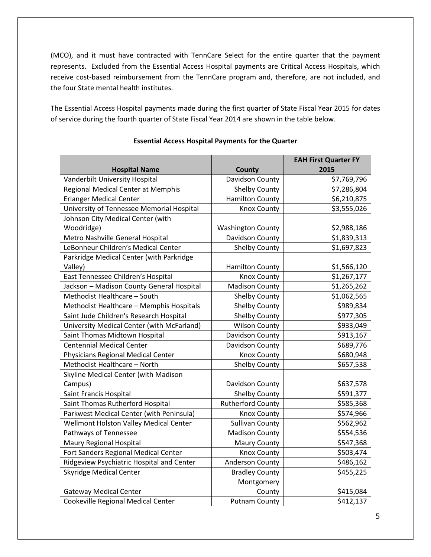(MCO), and it must have contracted with TennCare Select for the entire quarter that the payment represents. Excluded from the Essential Access Hospital payments are Critical Access Hospitals, which receive cost-based reimbursement from the TennCare program and, therefore, are not included, and the four State mental health institutes.

The Essential Access Hospital payments made during the first quarter of State Fiscal Year 2015 for dates of service during the fourth quarter of State Fiscal Year 2014 are shown in the table below.

|                                                        | County                   | <b>EAH First Quarter FY</b><br>2015 |
|--------------------------------------------------------|--------------------------|-------------------------------------|
| <b>Hospital Name</b><br>Vanderbilt University Hospital | Davidson County          | \$7,769,796                         |
| Regional Medical Center at Memphis                     | <b>Shelby County</b>     |                                     |
|                                                        |                          | \$7,286,804                         |
| <b>Erlanger Medical Center</b>                         | <b>Hamilton County</b>   | \$6,210,875                         |
| University of Tennessee Memorial Hospital              | <b>Knox County</b>       | \$3,555,026                         |
| Johnson City Medical Center (with                      |                          |                                     |
| Woodridge)                                             | <b>Washington County</b> | \$2,988,186                         |
| Metro Nashville General Hospital                       | Davidson County          | \$1,839,313                         |
| LeBonheur Children's Medical Center                    | <b>Shelby County</b>     | \$1,697,823                         |
| Parkridge Medical Center (with Parkridge               |                          |                                     |
| Valley)                                                | <b>Hamilton County</b>   | \$1,566,120                         |
| East Tennessee Children's Hospital                     | <b>Knox County</b>       | \$1,267,177                         |
| Jackson - Madison County General Hospital              | <b>Madison County</b>    | \$1,265,262                         |
| Methodist Healthcare - South                           | <b>Shelby County</b>     | \$1,062,565                         |
| Methodist Healthcare - Memphis Hospitals               | <b>Shelby County</b>     | \$989,834                           |
| Saint Jude Children's Research Hospital                | Shelby County            | \$977,305                           |
| University Medical Center (with McFarland)             | <b>Wilson County</b>     | \$933,049                           |
| Saint Thomas Midtown Hospital                          | Davidson County          | \$913,167                           |
| <b>Centennial Medical Center</b>                       | Davidson County          | \$689,776                           |
| <b>Physicians Regional Medical Center</b>              | <b>Knox County</b>       | \$680,948                           |
| Methodist Healthcare - North                           | <b>Shelby County</b>     | \$657,538                           |
| Skyline Medical Center (with Madison                   |                          |                                     |
| Campus)                                                | Davidson County          | \$637,578                           |
| Saint Francis Hospital                                 | <b>Shelby County</b>     | \$591,377                           |
| Saint Thomas Rutherford Hospital                       | <b>Rutherford County</b> | \$585,368                           |
| Parkwest Medical Center (with Peninsula)               | <b>Knox County</b>       | \$574,966                           |
| Wellmont Holston Valley Medical Center                 | <b>Sullivan County</b>   | \$562,962                           |
| Pathways of Tennessee                                  | <b>Madison County</b>    | \$554,536                           |
| <b>Maury Regional Hospital</b>                         | <b>Maury County</b>      | \$547,368                           |
| Fort Sanders Regional Medical Center                   | <b>Knox County</b>       | \$503,474                           |
| Ridgeview Psychiatric Hospital and Center              | Anderson County          | \$486,162                           |
| <b>Skyridge Medical Center</b>                         | <b>Bradley County</b>    | \$455,225                           |
|                                                        | Montgomery               |                                     |
| <b>Gateway Medical Center</b>                          | County                   | \$415,084                           |
| Cookeville Regional Medical Center                     | <b>Putnam County</b>     | \$412,137                           |

#### **Essential Access Hospital Payments for the Quarter**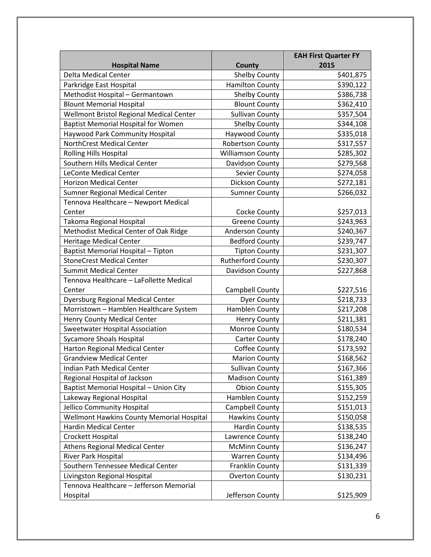|                                            |                          | <b>EAH First Quarter FY</b> |
|--------------------------------------------|--------------------------|-----------------------------|
| <b>Hospital Name</b>                       | County                   | 2015                        |
| <b>Delta Medical Center</b>                | Shelby County            | \$401,875                   |
| Parkridge East Hospital                    | <b>Hamilton County</b>   | \$390,122                   |
| Methodist Hospital - Germantown            | <b>Shelby County</b>     | \$386,738                   |
| <b>Blount Memorial Hospital</b>            | <b>Blount County</b>     | \$362,410                   |
| Wellmont Bristol Regional Medical Center   | <b>Sullivan County</b>   | \$357,504                   |
| <b>Baptist Memorial Hospital for Women</b> | <b>Shelby County</b>     | \$344,108                   |
| Haywood Park Community Hospital            | Haywood County           | \$335,018                   |
| NorthCrest Medical Center                  | Robertson County         | \$317,557                   |
| Rolling Hills Hospital                     | <b>Williamson County</b> | \$285,302                   |
| Southern Hills Medical Center              | Davidson County          | \$279,568                   |
| <b>LeConte Medical Center</b>              | Sevier County            | \$274,058                   |
| <b>Horizon Medical Center</b>              | Dickson County           | \$272,181                   |
| Sumner Regional Medical Center             | <b>Sumner County</b>     | \$266,032                   |
| Tennova Healthcare - Newport Medical       |                          |                             |
| Center                                     | Cocke County             | \$257,013                   |
| Takoma Regional Hospital                   | <b>Greene County</b>     | \$243,963                   |
| Methodist Medical Center of Oak Ridge      | Anderson County          | \$240,367                   |
| <b>Heritage Medical Center</b>             | <b>Bedford County</b>    | \$239,747                   |
| Baptist Memorial Hospital - Tipton         | <b>Tipton County</b>     | \$231,307                   |
| <b>StoneCrest Medical Center</b>           | <b>Rutherford County</b> | \$230,307                   |
| <b>Summit Medical Center</b>               | Davidson County          | \$227,868                   |
| Tennova Healthcare - LaFollette Medical    |                          |                             |
| Center                                     | Campbell County          | \$227,516                   |
| <b>Dyersburg Regional Medical Center</b>   | <b>Dyer County</b>       | \$218,733                   |
| Morristown - Hamblen Healthcare System     | Hamblen County           | \$217,208                   |
| <b>Henry County Medical Center</b>         | <b>Henry County</b>      | \$211,381                   |
| Sweetwater Hospital Association            | Monroe County            | \$180,534                   |
| <b>Sycamore Shoals Hospital</b>            | <b>Carter County</b>     | \$178,240                   |
| Harton Regional Medical Center             | Coffee County            | \$173,592                   |
| <b>Grandview Medical Center</b>            | <b>Marion County</b>     | \$168,562                   |
| Indian Path Medical Center                 | <b>Sullivan County</b>   | \$167,366                   |
| Regional Hospital of Jackson               | <b>Madison County</b>    | \$161,389                   |
| Baptist Memorial Hospital - Union City     | <b>Obion County</b>      | \$155,305                   |
| Lakeway Regional Hospital                  | Hamblen County           | \$152,259                   |
| Jellico Community Hospital                 | Campbell County          | \$151,013                   |
| Wellmont Hawkins County Memorial Hospital  | <b>Hawkins County</b>    | \$150,058                   |
| <b>Hardin Medical Center</b>               | <b>Hardin County</b>     | \$138,535                   |
| Crockett Hospital                          | Lawrence County          | \$138,240                   |
| <b>Athens Regional Medical Center</b>      | <b>McMinn County</b>     | \$136,247                   |
| River Park Hospital                        | <b>Warren County</b>     | \$134,496                   |
| Southern Tennessee Medical Center          | Franklin County          | \$131,339                   |
| Livingston Regional Hospital               | <b>Overton County</b>    | \$130,231                   |
| Tennova Healthcare - Jefferson Memorial    |                          |                             |
| Hospital                                   | Jefferson County         | \$125,909                   |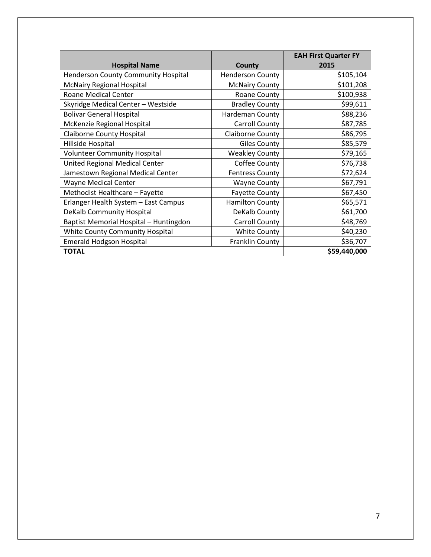|                                        |                         | <b>EAH First Quarter FY</b> |
|----------------------------------------|-------------------------|-----------------------------|
| <b>Hospital Name</b>                   | County                  | 2015                        |
| Henderson County Community Hospital    | <b>Henderson County</b> | \$105,104                   |
| <b>McNairy Regional Hospital</b>       | <b>McNairy County</b>   | \$101,208                   |
| <b>Roane Medical Center</b>            | Roane County            | \$100,938                   |
| Skyridge Medical Center - Westside     | <b>Bradley County</b>   | \$99,611                    |
| <b>Bolivar General Hospital</b>        | Hardeman County         | \$88,236                    |
| McKenzie Regional Hospital             | <b>Carroll County</b>   | \$87,785                    |
| <b>Claiborne County Hospital</b>       | Claiborne County        | \$86,795                    |
| Hillside Hospital                      | <b>Giles County</b>     | \$85,579                    |
| <b>Volunteer Community Hospital</b>    | <b>Weakley County</b>   | \$79,165                    |
| United Regional Medical Center         | Coffee County           | \$76,738                    |
| Jamestown Regional Medical Center      | <b>Fentress County</b>  | \$72,624                    |
| <b>Wayne Medical Center</b>            | <b>Wayne County</b>     | \$67,791                    |
| Methodist Healthcare - Fayette         | <b>Fayette County</b>   | \$67,450                    |
| Erlanger Health System - East Campus   | <b>Hamilton County</b>  | \$65,571                    |
| DeKalb Community Hospital              | DeKalb County           | \$61,700                    |
| Baptist Memorial Hospital - Huntingdon | Carroll County          | \$48,769                    |
| <b>White County Community Hospital</b> | <b>White County</b>     | \$40,230                    |
| <b>Emerald Hodgson Hospital</b>        | Franklin County         | \$36,707                    |
| <b>TOTAL</b>                           |                         | \$59,440,000                |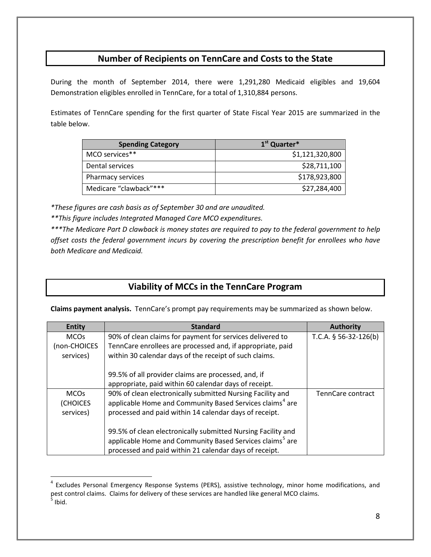## **Number of Recipients on TennCare and Costs to the State**

During the month of September 2014, there were 1,291,280 Medicaid eligibles and 19,604 Demonstration eligibles enrolled in TennCare, for a total of 1,310,884 persons.

Estimates of TennCare spending for the first quarter of State Fiscal Year 2015 are summarized in the table below.

| <b>Spending Category</b> | 1 <sup>st</sup> Quarter* |
|--------------------------|--------------------------|
| MCO services**           | \$1,121,320,800          |
| Dental services          | \$28,711,100             |
| Pharmacy services        | \$178,923,800            |
| Medicare "clawback"***   | \$27,284,400             |

*\*These figures are cash basis as of September 30 and are unaudited.*

*\*\*This figure includes Integrated Managed Care MCO expenditures.*

 $\overline{a}$ 

*\*\*\*The Medicare Part D clawback is money states are required to pay to the federal government to help offset costs the federal government incurs by covering the prescription benefit for enrollees who have both Medicare and Medicaid.*

## **Viability of MCCs in the TennCare Program**

**Claims payment analysis.** TennCare's prompt pay requirements may be summarized as shown below.

| <b>Entity</b> | <b>Standard</b>                                                      | <b>Authority</b>        |
|---------------|----------------------------------------------------------------------|-------------------------|
| <b>MCOs</b>   | 90% of clean claims for payment for services delivered to            | T.C.A. $§$ 56-32-126(b) |
| (non-CHOICES  | TennCare enrollees are processed and, if appropriate, paid           |                         |
| services)     | within 30 calendar days of the receipt of such claims.               |                         |
|               |                                                                      |                         |
|               | 99.5% of all provider claims are processed, and, if                  |                         |
|               | appropriate, paid within 60 calendar days of receipt.                |                         |
| <b>MCOs</b>   | 90% of clean electronically submitted Nursing Facility and           | TennCare contract       |
| (CHOICES      | applicable Home and Community Based Services claims <sup>4</sup> are |                         |
| services)     | processed and paid within 14 calendar days of receipt.               |                         |
|               |                                                                      |                         |
|               | 99.5% of clean electronically submitted Nursing Facility and         |                         |
|               | applicable Home and Community Based Services claims <sup>5</sup> are |                         |
|               | processed and paid within 21 calendar days of receipt.               |                         |

<span id="page-7-1"></span><span id="page-7-0"></span><sup>&</sup>lt;sup>4</sup> Excludes Personal Emergency Response Systems (PERS), assistive technology, minor home modifications, and pest control claims. Claims for delivery of these services are handled like general MCO claims.<br><sup>5</sup> Ibid.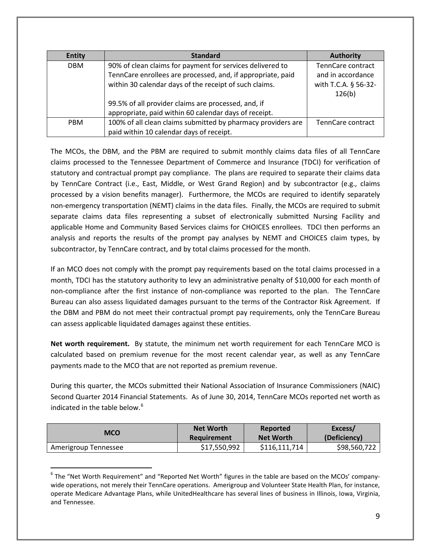| <b>Entity</b> | <b>Standard</b>                                              | <b>Authority</b>     |
|---------------|--------------------------------------------------------------|----------------------|
| <b>DBM</b>    | 90% of clean claims for payment for services delivered to    | TennCare contract    |
|               | TennCare enrollees are processed, and, if appropriate, paid  | and in accordance    |
|               | within 30 calendar days of the receipt of such claims.       | with T.C.A. § 56-32- |
|               |                                                              | 126(b)               |
|               | 99.5% of all provider claims are processed, and, if          |                      |
|               | appropriate, paid within 60 calendar days of receipt.        |                      |
| <b>PBM</b>    | 100% of all clean claims submitted by pharmacy providers are | TennCare contract    |
|               | paid within 10 calendar days of receipt.                     |                      |

The MCOs, the DBM, and the PBM are required to submit monthly claims data files of all TennCare claims processed to the Tennessee Department of Commerce and Insurance (TDCI) for verification of statutory and contractual prompt pay compliance. The plans are required to separate their claims data by TennCare Contract (i.e., East, Middle, or West Grand Region) and by subcontractor (e.g., claims processed by a vision benefits manager). Furthermore, the MCOs are required to identify separately non-emergency transportation (NEMT) claims in the data files. Finally, the MCOs are required to submit separate claims data files representing a subset of electronically submitted Nursing Facility and applicable Home and Community Based Services claims for CHOICES enrollees. TDCI then performs an analysis and reports the results of the prompt pay analyses by NEMT and CHOICES claim types, by subcontractor, by TennCare contract, and by total claims processed for the month.

If an MCO does not comply with the prompt pay requirements based on the total claims processed in a month, TDCI has the statutory authority to levy an administrative penalty of \$10,000 for each month of non-compliance after the first instance of non-compliance was reported to the plan. The TennCare Bureau can also assess liquidated damages pursuant to the terms of the Contractor Risk Agreement. If the DBM and PBM do not meet their contractual prompt pay requirements, only the TennCare Bureau can assess applicable liquidated damages against these entities.

**Net worth requirement.** By statute, the minimum net worth requirement for each TennCare MCO is calculated based on premium revenue for the most recent calendar year, as well as any TennCare payments made to the MCO that are not reported as premium revenue.

During this quarter, the MCOs submitted their National Association of Insurance Commissioners (NAIC) Second Quarter 2014 Financial Statements. As of June 30, 2014, TennCare MCOs reported net worth as indicated in the table below.<sup>[6](#page-8-0)</sup>

| MCO                  | <b>Net Worth</b> | Reported         | Excess/      |
|----------------------|------------------|------------------|--------------|
|                      | Requirement      | <b>Net Worth</b> | (Deficiency) |
| Amerigroup Tennessee | \$17,550,992     | \$116,111,714    | \$98,560,722 |

<span id="page-8-0"></span> $6$  The "Net Worth Requirement" and "Reported Net Worth" figures in the table are based on the MCOs' companywide operations, not merely their TennCare operations. Amerigroup and Volunteer State Health Plan, for instance, operate Medicare Advantage Plans, while UnitedHealthcare has several lines of business in Illinois, Iowa, Virginia, and Tennessee.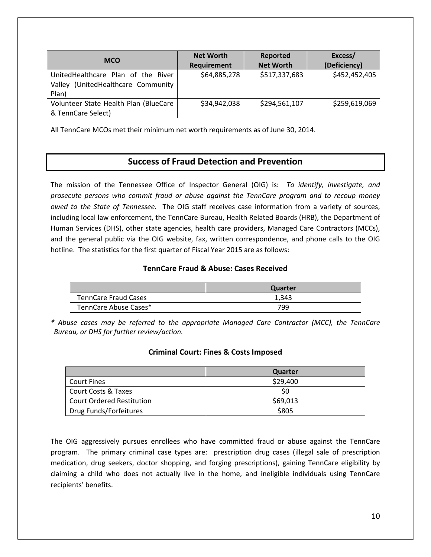| <b>MCO</b>                                                                        | <b>Net Worth</b><br><b>Requirement</b> | Reported<br><b>Net Worth</b> | Excess/<br>(Deficiency) |
|-----------------------------------------------------------------------------------|----------------------------------------|------------------------------|-------------------------|
| UnitedHealthcare Plan of the River<br>Valley (UnitedHealthcare Community<br>Plan) | \$64,885,278                           | \$517,337,683                | \$452,452,405           |
| Volunteer State Health Plan (BlueCare<br>& TennCare Select)                       | \$34,942,038                           | \$294,561,107                | \$259,619,069           |

All TennCare MCOs met their minimum net worth requirements as of June 30, 2014.

## **Success of Fraud Detection and Prevention**

The mission of the Tennessee Office of Inspector General (OIG) is: *To identify, investigate, and prosecute persons who commit fraud or abuse against the TennCare program and to recoup money owed to the State of Tennessee.* The OIG staff receives case information from a variety of sources, including local law enforcement, the TennCare Bureau, Health Related Boards (HRB), the Department of Human Services (DHS), other state agencies, health care providers, Managed Care Contractors (MCCs), and the general public via the OIG website, fax, written correspondence, and phone calls to the OIG hotline. The statistics for the first quarter of Fiscal Year 2015 are as follows:

### **TennCare Fraud & Abuse: Cases Received**

|                             | Quarter |
|-----------------------------|---------|
| <b>TennCare Fraud Cases</b> | 1,343   |
| TennCare Abuse Cases*       | 799     |

*\* Abuse cases may be referred to the appropriate Managed Care Contractor (MCC), the TennCare Bureau, or DHS for further review/action.*

## **Criminal Court: Fines & Costs Imposed**

|                                  | Quarter  |
|----------------------------------|----------|
| <b>Court Fines</b>               | \$29,400 |
| <b>Court Costs &amp; Taxes</b>   |          |
| <b>Court Ordered Restitution</b> | \$69,013 |
| Drug Funds/Forfeitures           | \$805    |

The OIG aggressively pursues enrollees who have committed fraud or abuse against the TennCare program. The primary criminal case types are: prescription drug cases (illegal sale of prescription medication, drug seekers, doctor shopping, and forging prescriptions), gaining TennCare eligibility by claiming a child who does not actually live in the home, and ineligible individuals using TennCare recipients' benefits.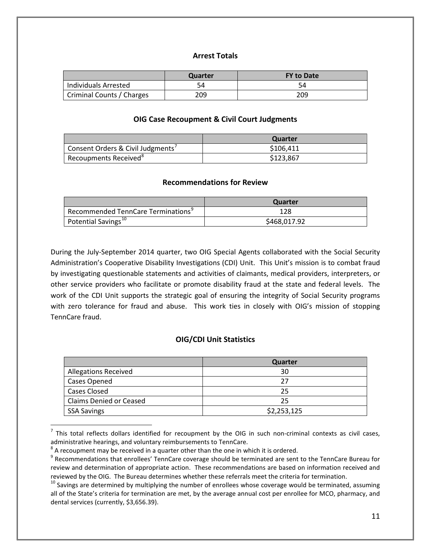### **Arrest Totals**

|                           | Quarter | <b>FY to Date</b> |
|---------------------------|---------|-------------------|
| Individuals Arrested      | 54      | 54                |
| Criminal Counts / Charges | 209     | 209               |

#### **OIG Case Recoupment & Civil Court Judgments**

|                                   | Quarter   |
|-----------------------------------|-----------|
| Consent Orders & Civil Judgments' | \$106.411 |
| Recoupments Received <sup>8</sup> | \$123,867 |

#### **Recommendations for Review**

|                                                | Quarter      |
|------------------------------------------------|--------------|
| Recommended TennCare Terminations <sup>9</sup> | 128          |
| Potential Savings <sup>10</sup>                | \$468,017.92 |

During the July-September 2014 quarter, two OIG Special Agents collaborated with the Social Security Administration's Cooperative Disability Investigations (CDI) Unit. This Unit's mission is to combat fraud by investigating questionable statements and activities of claimants, medical providers, interpreters, or other service providers who facilitate or promote disability fraud at the state and federal levels. The work of the CDI Unit supports the strategic goal of ensuring the integrity of Social Security programs with zero tolerance for fraud and abuse. This work ties in closely with OIG's mission of stopping TennCare fraud.

#### **OIG/CDI Unit Statistics**

|                                | Quarter     |
|--------------------------------|-------------|
| <b>Allegations Received</b>    | 30          |
| Cases Opened                   | つフ          |
| <b>Cases Closed</b>            | 25          |
| <b>Claims Denied or Ceased</b> | 25          |
| <b>SSA Savings</b>             | \$2,253,125 |

<span id="page-10-0"></span> $<sup>7</sup>$  This total reflects dollars identified for recoupment by the OIG in such non-criminal contexts as civil cases, administrative hearings, and voluntary reimbursements to TennCare.</sup>

<span id="page-10-2"></span><span id="page-10-1"></span> $\degree$  A recoupment may be received in a quarter other than the one in which it is ordered.<br> $\degree$  Recommendations that enrollees' TennCare coverage should be terminated are sent to the TennCare Bureau for review and determination of appropriate action. These recommendations are based on information received and

<span id="page-10-3"></span>reviewed by the OIG. The Bureau determines whether these referrals meet the criteria for termination.<br><sup>10</sup> Savings are determined by multiplying the number of enrollees whose coverage would be terminated, assuming all of the State's criteria for termination are met, by the average annual cost per enrollee for MCO, pharmacy, and dental services (currently, \$3,656.39).